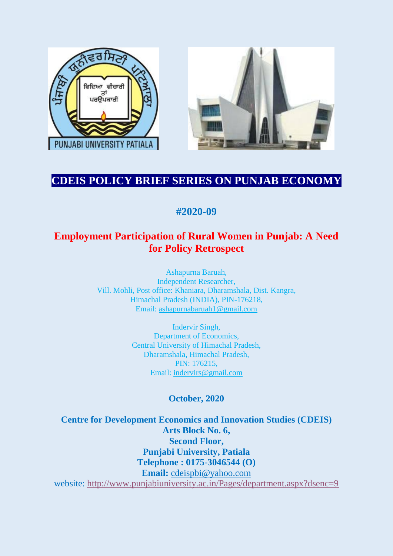



# **CDEIS POLICY BRIEF SERIES ON PUNJAB ECONOMY**

# **#2020-09**

## **Employment Participation of Rural Women in Punjab: A Need for Policy Retrospect**

Ashapurna Baruah, Independent Researcher, Vill. Mohli, Post office: Khaniara, Dharamshala, Dist. Kangra, Himachal Pradesh (INDIA), PIN-176218, Email: [ashapurnabaruah1@gmail.com](mailto:ashapurnabaruah1@gmail.com)

> Indervir Singh, Department of Economics, Central University of Himachal Pradesh, Dharamshala, Himachal Pradesh, PIN: 176215, Email: [indervirs@gmail.com](mailto:indervirs@gmail.com)

## **October, 2020**

**Centre for Development Economics and Innovation Studies (CDEIS) Arts Block No. 6, Second Floor, Punjabi University, Patiala Telephone : 0175-3046544 (O) Email:** [cdeispbi@yahoo.com](mailto:cdeispbi@yahoo.com) website:<http://www.punjabiuniversity.ac.in/Pages/department.aspx?dsenc=9>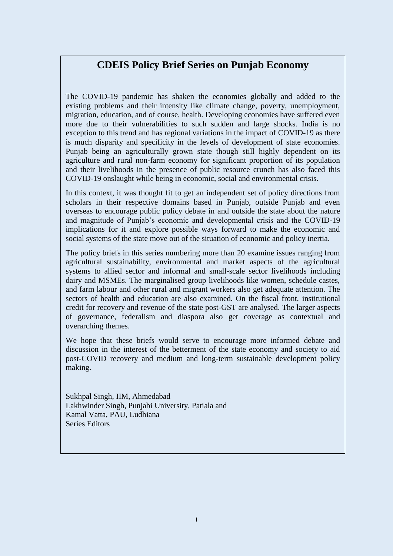## **CDEIS Policy Brief Series on Punjab Economy**

The COVID-19 pandemic has shaken the economies globally and added to the existing problems and their intensity like climate change, poverty, unemployment, migration, education, and of course, health. Developing economies have suffered even more due to their vulnerabilities to such sudden and large shocks. India is no exception to this trend and has regional variations in the impact of COVID-19 as there is much disparity and specificity in the levels of development of state economies. Punjab being an agriculturally grown state though still highly dependent on its agriculture and rural non-farm economy for significant proportion of its population and their livelihoods in the presence of public resource crunch has also faced this COVID-19 onslaught while being in economic, social and environmental crisis.

In this context, it was thought fit to get an independent set of policy directions from scholars in their respective domains based in Punjab, outside Punjab and even overseas to encourage public policy debate in and outside the state about the nature and magnitude of Punjab's economic and developmental crisis and the COVID-19 implications for it and explore possible ways forward to make the economic and social systems of the state move out of the situation of economic and policy inertia.

The policy briefs in this series numbering more than 20 examine issues ranging from agricultural sustainability, environmental and market aspects of the agricultural systems to allied sector and informal and small-scale sector livelihoods including dairy and MSMEs. The marginalised group livelihoods like women, schedule castes, and farm labour and other rural and migrant workers also get adequate attention. The sectors of health and education are also examined. On the fiscal front, institutional credit for recovery and revenue of the state post-GST are analysed. The larger aspects of governance, federalism and diaspora also get coverage as contextual and overarching themes.

We hope that these briefs would serve to encourage more informed debate and discussion in the interest of the betterment of the state economy and society to aid post-COVID recovery and medium and long-term sustainable development policy making.

Sukhpal Singh, IIM, Ahmedabad Lakhwinder Singh, Punjabi University, Patiala and Kamal Vatta, PAU, Ludhiana Series Editors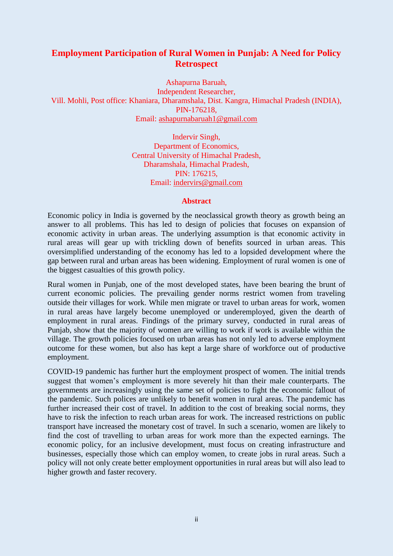### **Employment Participation of Rural Women in Punjab: A Need for Policy Retrospect**

Ashapurna Baruah, Independent Researcher, Vill. Mohli, Post office: Khaniara, Dharamshala, Dist. Kangra, Himachal Pradesh (INDIA), PIN-176218, Email: [ashapurnabaruah1@gmail.com](mailto:ashapurnabaruah1@gmail.com)

> Indervir Singh, Department of Economics, Central University of Himachal Pradesh, Dharamshala, Himachal Pradesh, PIN: 176215, Email: [indervirs@gmail.com](mailto:indervirs@gmail.com)

#### **Abstract**

Economic policy in India is governed by the neoclassical growth theory as growth being an answer to all problems. This has led to design of policies that focuses on expansion of economic activity in urban areas. The underlying assumption is that economic activity in rural areas will gear up with trickling down of benefits sourced in urban areas. This oversimplified understanding of the economy has led to a lopsided development where the gap between rural and urban areas has been widening. Employment of rural women is one of the biggest casualties of this growth policy.

Rural women in Punjab, one of the most developed states, have been bearing the brunt of current economic policies. The prevailing gender norms restrict women from traveling outside their villages for work. While men migrate or travel to urban areas for work, women in rural areas have largely become unemployed or underemployed, given the dearth of employment in rural areas. Findings of the primary survey, conducted in rural areas of Punjab, show that the majority of women are willing to work if work is available within the village. The growth policies focused on urban areas has not only led to adverse employment outcome for these women, but also has kept a large share of workforce out of productive employment.

COVID-19 pandemic has further hurt the employment prospect of women. The initial trends suggest that women's employment is more severely hit than their male counterparts. The governments are increasingly using the same set of policies to fight the economic fallout of the pandemic. Such polices are unlikely to benefit women in rural areas. The pandemic has further increased their cost of travel. In addition to the cost of breaking social norms, they have to risk the infection to reach urban areas for work. The increased restrictions on public transport have increased the monetary cost of travel. In such a scenario, women are likely to find the cost of travelling to urban areas for work more than the expected earnings. The economic policy, for an inclusive development, must focus on creating infrastructure and businesses, especially those which can employ women, to create jobs in rural areas. Such a policy will not only create better employment opportunities in rural areas but will also lead to higher growth and faster recovery.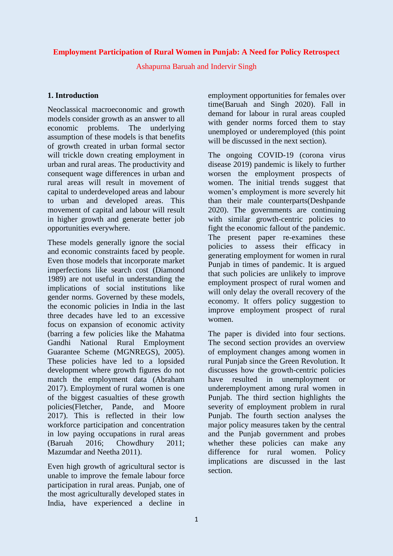### **Employment Participation of Rural Women in Punjab: A Need for Policy Retrospect**

Ashapurna Baruah and Indervir Singh

### **1. Introduction**

Neoclassical macroeconomic and growth models consider growth as an answer to all economic problems. The underlying assumption of these models is that benefits of growth created in urban formal sector will trickle down creating employment in urban and rural areas. The productivity and consequent wage differences in urban and rural areas will result in movement of capital to underdeveloped areas and labour to urban and developed areas. This movement of capital and labour will result in higher growth and generate better job opportunities everywhere.

These models generally ignore the social and economic constraints faced by people. Even those models that incorporate market imperfections like search cost (Diamond 1989) are not useful in understanding the implications of social institutions like gender norms. Governed by these models, the economic policies in India in the last three decades have led to an excessive focus on expansion of economic activity (barring a few policies like the Mahatma Gandhi National Rural Employment Guarantee Scheme (MGNREGS), 2005). These policies have led to a lopsided development where growth figures do not match the employment data (Abraham 2017). Employment of rural women is one of the biggest casualties of these growth policies(Fletcher, Pande, and Moore 2017). This is reflected in their low workforce participation and concentration in low paying occupations in rural areas (Baruah 2016; Chowdhury 2011; Mazumdar and Neetha 2011).

Even high growth of agricultural sector is unable to improve the female labour force participation in rural areas. Punjab, one of the most agriculturally developed states in India, have experienced a decline in employment opportunities for females over time(Baruah and Singh 2020). Fall in demand for labour in rural areas coupled with gender norms forced them to stay unemployed or underemployed (this point will be discussed in the next section).

The ongoing COVID-19 (corona virus disease 2019) pandemic is likely to further worsen the employment prospects of women. The initial trends suggest that women's employment is more severely hit than their male counterparts(Deshpande 2020). The governments are continuing with similar growth-centric policies to fight the economic fallout of the pandemic. The present paper re-examines these policies to assess their efficacy in generating employment for women in rural Punjab in times of pandemic. It is argued that such policies are unlikely to improve employment prospect of rural women and will only delay the overall recovery of the economy. It offers policy suggestion to improve employment prospect of rural women.

The paper is divided into four sections. The second section provides an overview of employment changes among women in rural Punjab since the Green Revolution. It discusses how the growth-centric policies have resulted in unemployment or underemployment among rural women in Punjab. The third section highlights the severity of employment problem in rural Punjab. The fourth section analyses the major policy measures taken by the central and the Punjab government and probes whether these policies can make any difference for rural women. Policy implications are discussed in the last section.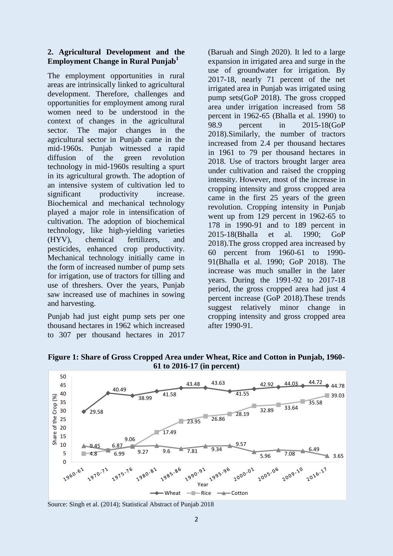#### **2. Agricultural Development and the Employment Change in Rural Punjab<sup>1</sup>**

The employment opportunities in rural areas are intrinsically linked to agricultural development. Therefore, challenges and opportunities for employment among rural women need to be understood in the context of changes in the agricultural sector. The major changes in the agricultural sector in Punjab came in the mid-1960s. Punjab witnessed a rapid diffusion of the green revolution technology in mid-1960s resulting a spurt in its agricultural growth. The adoption of an intensive system of cultivation led to significant productivity increase. Biochemical and mechanical technology played a major role in intensification of cultivation. The adoption of biochemical technology, like high-yielding varieties (HYV), chemical fertilizers, and pesticides, enhanced crop productivity. Mechanical technology initially came in the form of increased number of pump sets for irrigation, use of tractors for tilling and use of threshers. Over the years, Punjab saw increased use of machines in sowing and harvesting.

Punjab had just eight pump sets per one thousand hectares in 1962 which increased to 307 per thousand hectares in 2017

(Baruah and Singh 2020). It led to a large expansion in irrigated area and surge in the use of groundwater for irrigation. By 2017-18, nearly 71 percent of the net irrigated area in Punjab was irrigated using pump sets(GoP 2018). The gross cropped area under irrigation increased from 58 percent in 1962-65 (Bhalla et al. 1990) to 98.9 percent in 2015-18(GoP 2018).Similarly, the number of tractors increased from 2.4 per thousand hectares in 1961 to 79 per thousand hectares in 2018. Use of tractors brought larger area under cultivation and raised the cropping intensity. However, most of the increase in cropping intensity and gross cropped area came in the first 25 years of the green revolution. Cropping intensity in Punjab went up from 129 percent in 1962-65 to 178 in 1990-91 and to 189 percent in 2015-18(Bhalla et al. 1990; GoP 2018).The gross cropped area increased by 60 percent from 1960-61 to 1990- 91(Bhalla et al. 1990; GoP 2018). The increase was much smaller in the later years. During the 1991-92 to 2017-18 period, the gross cropped area had just 4 percent increase (GoP 2018).These trends suggest relatively minor change in cropping intensity and gross cropped area after 1990-91.



**Figure 1: Share of Gross Cropped Area under Wheat, Rice and Cotton in Punjab, 1960- 61 to 2016-17 (in percent)**

Source: Singh et al. (2014); Statistical Abstract of Punjab 2018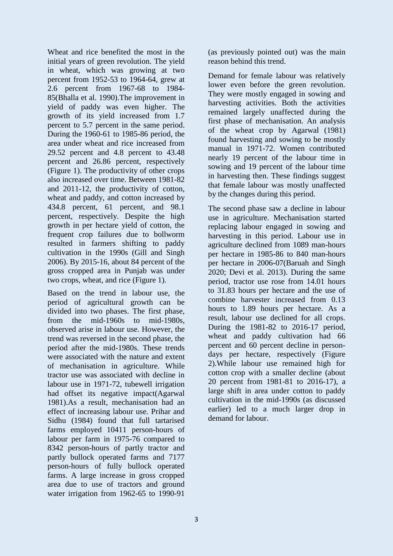Wheat and rice benefited the most in the initial years of green revolution. The yield in wheat, which was growing at two percent from 1952-53 to 1964-64, grew at 2.6 percent from 1967-68 to 1984- 85(Bhalla et al. 1990).The improvement in yield of paddy was even higher. The growth of its yield increased from 1.7 percent to 5.7 percent in the same period. During the 1960-61 to 1985-86 period, the area under wheat and rice increased from 29.52 percent and 4.8 percent to 43.48 percent and 26.86 percent, respectively (Figure 1). The productivity of other crops also increased over time. Between 1981-82 and 2011-12, the productivity of cotton, wheat and paddy, and cotton increased by 434.8 percent, 61 percent, and 98.1 percent, respectively. Despite the high growth in per hectare yield of cotton, the frequent crop failures due to bollworm resulted in farmers shifting to paddy cultivation in the 1990s (Gill and Singh 2006). By 2015-16, about 84 percent of the gross cropped area in Punjab was under two crops, wheat, and rice (Figure 1).

Based on the trend in labour use, the period of agricultural growth can be divided into two phases. The first phase, from the mid-1960s to mid-1980s, observed arise in labour use. However, the trend was reversed in the second phase, the period after the mid-1980s. These trends were associated with the nature and extent of mechanisation in agriculture. While tractor use was associated with decline in labour use in 1971-72, tubewell irrigation had offset its negative impact(Agarwal 1981).As a result, mechanisation had an effect of increasing labour use. Prihar and Sidhu (1984) found that full tartarised farms employed 10411 person-hours of labour per farm in 1975-76 compared to 8342 person-hours of partly tractor and partly bullock operated farms and 7177 person-hours of fully bullock operated farms. A large increase in gross cropped area due to use of tractors and ground water irrigation from 1962-65 to 1990-91

(as previously pointed out) was the main reason behind this trend.

Demand for female labour was relatively lower even before the green revolution. They were mostly engaged in sowing and harvesting activities. Both the activities remained largely unaffected during the first phase of mechanisation. An analysis of the wheat crop by Agarwal (1981) found harvesting and sowing to be mostly manual in 1971-72. Women contributed nearly 19 percent of the labour time in sowing and 19 percent of the labour time in harvesting then. These findings suggest that female labour was mostly unaffected by the changes during this period.

The second phase saw a decline in labour use in agriculture. Mechanisation started replacing labour engaged in sowing and harvesting in this period. Labour use in agriculture declined from 1089 man-hours per hectare in 1985-86 to 840 man-hours per hectare in 2006-07(Baruah and Singh 2020; Devi et al. 2013). During the same period, tractor use rose from 14.01 hours to 31.83 hours per hectare and the use of combine harvester increased from 0.13 hours to 1.89 hours per hectare. As a result, labour use declined for all crops. During the 1981-82 to 2016-17 period, wheat and paddy cultivation had 66 percent and 60 percent decline in persondays per hectare, respectively (Figure 2).While labour use remained high for cotton crop with a smaller decline (about 20 percent from 1981-81 to 2016-17), a large shift in area under cotton to paddy cultivation in the mid-1990s (as discussed earlier) led to a much larger drop in demand for labour.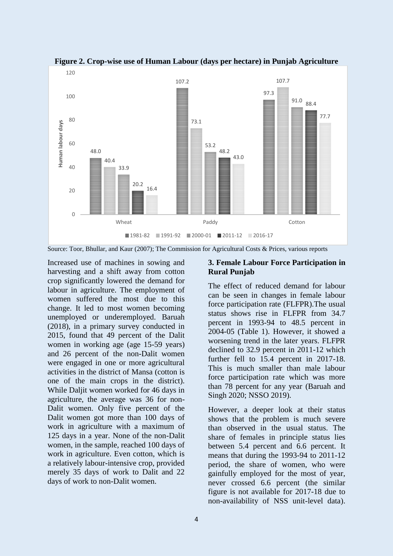

**Figure 2. Crop-wise use of Human Labour (days per hectare) in Punjab Agriculture**

Source: Toor, Bhullar, and Kaur (2007); The Commission for Agricultural Costs & Prices, various reports

Increased use of machines in sowing and harvesting and a shift away from cotton crop significantly lowered the demand for labour in agriculture. The employment of women suffered the most due to this change. It led to most women becoming unemployed or underemployed. Baruah (2018), in a primary survey conducted in 2015, found that 49 percent of the Dalit women in working age (age 15-59 years) and 26 percent of the non-Dalit women were engaged in one or more agricultural activities in the district of Mansa (cotton is one of the main crops in the district). While Daljit women worked for 46 days in agriculture, the average was 36 for non-Dalit women. Only five percent of the Dalit women got more than 100 days of work in agriculture with a maximum of 125 days in a year. None of the non-Dalit women, in the sample, reached 100 days of work in agriculture. Even cotton, which is a relatively labour-intensive crop, provided merely 35 days of work to Dalit and 22 days of work to non-Dalit women.

#### **3. Female Labour Force Participation in Rural Punjab**

The effect of reduced demand for labour can be seen in changes in female labour force participation rate (FLFPR).The usual status shows rise in FLFPR from 34.7 percent in 1993-94 to 48.5 percent in 2004-05 (Table 1). However, it showed a worsening trend in the later years. FLFPR declined to 32.9 percent in 2011-12 which further fell to 15.4 percent in 2017-18. This is much smaller than male labour force participation rate which was more than 78 percent for any year (Baruah and Singh 2020; NSSO 2019).

However, a deeper look at their status shows that the problem is much severe than observed in the usual status. The share of females in principle status lies between 5.4 percent and 6.6 percent. It means that during the 1993-94 to 2011-12 period, the share of women, who were gainfully employed for the most of year, never crossed 6.6 percent (the similar figure is not available for 2017-18 due to non-availability of NSS unit-level data).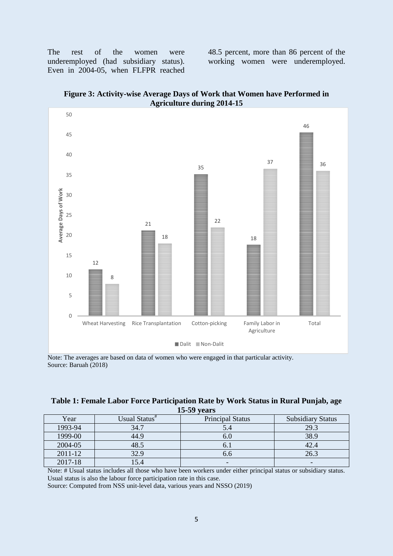The rest of the women were underemployed (had subsidiary status). Even in 2004-05, when FLFPR reached 48.5 percent, more than 86 percent of the working women were underemployed.





Note: The averages are based on data of women who were engaged in that particular activity. Source: Baruah (2018)

| Table 1: Female Labor Force Participation Rate by Work Status in Rural Punjab, age |  |
|------------------------------------------------------------------------------------|--|
| $15-59$ vears                                                                      |  |

| Year        | Usual Status# | <b>Principal Status</b> | <b>Subsidiary Status</b> |
|-------------|---------------|-------------------------|--------------------------|
| 1993-94     | 34.7          | 5.4                     | 29.3                     |
| 1999-00     | 44.9          | o.u                     | 38.9                     |
| 2004-05     | 48.5          | U.I                     | 42.4                     |
| $2011 - 12$ | 32.9          | 0.0                     | 26.3                     |
| 2017-18     | l 5.4         | -                       | $\overline{\phantom{0}}$ |

Note: # Usual status includes all those who have been workers under either principal status or subsidiary status. Usual status is also the labour force participation rate in this case.

Source: Computed from NSS unit-level data, various years and NSSO (2019)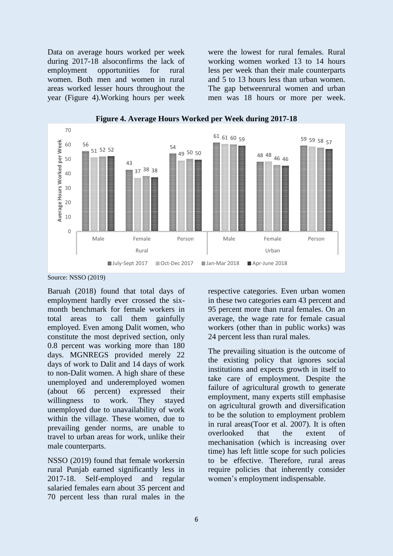Data on average hours worked per week during 2017-18 alsoconfirms the lack of employment opportunities for rural women. Both men and women in rural areas worked lesser hours throughout the year (Figure 4).Working hours per week were the lowest for rural females. Rural working women worked 13 to 14 hours less per week than their male counterparts and 5 to 13 hours less than urban women. The gap betweenrural women and urban men was 18 hours or more per week.



**Figure 4. Average Hours Worked per Week during 2017-18**

Baruah (2018) found that total days of employment hardly ever crossed the sixmonth benchmark for female workers in total areas to call them gainfully employed. Even among Dalit women, who constitute the most deprived section, only 0.8 percent was working more than 180 days. MGNREGS provided merely 22 days of work to Dalit and 14 days of work to non-Dalit women. A high share of these unemployed and underemployed women (about 66 percent) expressed their willingness to work. They stayed unemployed due to unavailability of work within the village. These women, due to prevailing gender norms, are unable to travel to urban areas for work, unlike their male counterparts.

NSSO (2019) found that female workersin rural Punjab earned significantly less in 2017-18. Self-employed and regular salaried females earn about 35 percent and 70 percent less than rural males in the respective categories. Even urban women in these two categories earn 43 percent and 95 percent more than rural females. On an average, the wage rate for female casual workers (other than in public works) was 24 percent less than rural males.

The prevailing situation is the outcome of the existing policy that ignores social institutions and expects growth in itself to take care of employment. Despite the failure of agricultural growth to generate employment, many experts still emphasise on agricultural growth and diversification to be the solution to employment problem in rural areas(Toor et al. 2007). It is often overlooked that the extent of mechanisation (which is increasing over time) has left little scope for such policies to be effective. Therefore, rural areas require policies that inherently consider women's employment indispensable.

Source: NSSO (2019)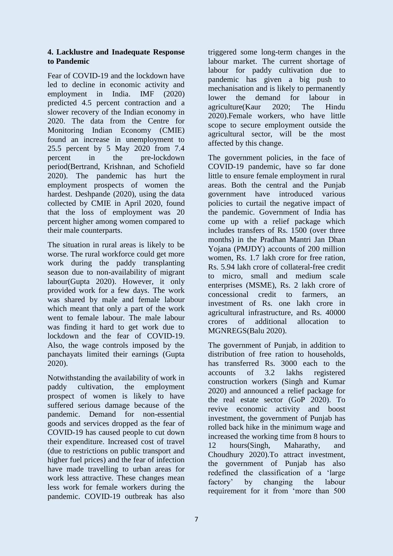### **4. Lacklustre and Inadequate Response to Pandemic**

Fear of COVID-19 and the lockdown have led to decline in economic activity and employment in India. IMF (2020) predicted 4.5 percent contraction and a slower recovery of the Indian economy in 2020. The data from the Centre for Monitoring Indian Economy (CMIE) found an increase in unemployment to 25.5 percent by 5 May 2020 from 7.4 percent in the pre-lockdown period(Bertrand, Krishnan, and Schofield 2020). The pandemic has hurt the employment prospects of women the hardest. Deshpande (2020), using the data collected by CMIE in April 2020, found that the loss of employment was 20 percent higher among women compared to their male counterparts.

The situation in rural areas is likely to be worse. The rural workforce could get more work during the paddy transplanting season due to non-availability of migrant labour(Gupta 2020). However, it only provided work for a few days. The work was shared by male and female labour which meant that only a part of the work went to female labour. The male labour was finding it hard to get work due to lockdown and the fear of COVID-19. Also, the wage controls imposed by the panchayats limited their earnings (Gupta 2020).

Notwithstanding the availability of work in paddy cultivation, the employment prospect of women is likely to have suffered serious damage because of the pandemic. Demand for non-essential goods and services dropped as the fear of COVID-19 has caused people to cut down their expenditure. Increased cost of travel (due to restrictions on public transport and higher fuel prices) and the fear of infection have made travelling to urban areas for work less attractive. These changes mean less work for female workers during the pandemic. COVID-19 outbreak has also

triggered some long-term changes in the labour market. The current shortage of labour for paddy cultivation due to pandemic has given a big push to mechanisation and is likely to permanently lower the demand for labour in agriculture(Kaur 2020; The Hindu 2020).Female workers, who have little scope to secure employment outside the agricultural sector, will be the most affected by this change.

The government policies, in the face of COVID-19 pandemic, have so far done little to ensure female employment in rural areas. Both the central and the Punjab government have introduced various policies to curtail the negative impact of the pandemic. Government of India has come up with a relief package which includes transfers of Rs. 1500 (over three months) in the Pradhan Mantri Jan Dhan Yojana (PMJDY) accounts of 200 million women, Rs. 1.7 lakh crore for free ration, Rs. 5.94 lakh crore of collateral-free credit to micro, small and medium scale enterprises (MSME), Rs. 2 lakh crore of concessional credit to farmers, an investment of Rs. one lakh crore in agricultural infrastructure, and Rs. 40000 crores of additional allocation to MGNREGS(Balu 2020).

The government of Punjab, in addition to distribution of free ration to households, has transferred Rs. 3000 each to the accounts of 3.2 lakhs registered construction workers (Singh and Kumar 2020) and announced a relief package for the real estate sector (GoP 2020). To revive economic activity and boost investment, the government of Punjab has rolled back hike in the minimum wage and increased the working time from 8 hours to 12 hours(Singh, Maharathy, and Choudhury 2020).To attract investment, the government of Punjab has also redefined the classification of a 'large factory' by changing the labour requirement for it from 'more than 500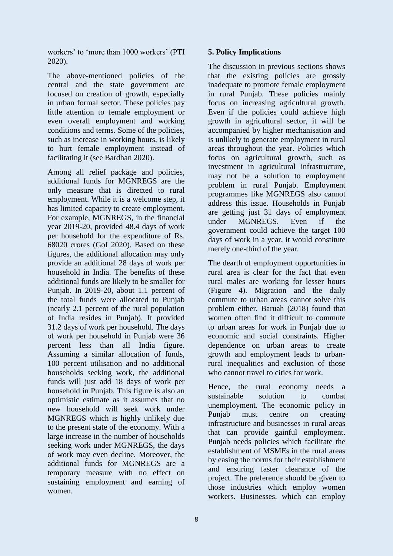workers' to 'more than 1000 workers' (PTI 2020).

The above-mentioned policies of the central and the state government are focused on creation of growth, especially in urban formal sector. These policies pay little attention to female employment or even overall employment and working conditions and terms. Some of the policies, such as increase in working hours, is likely to hurt female employment instead of facilitating it (see Bardhan 2020).

Among all relief package and policies, additional funds for MGNREGS are the only measure that is directed to rural employment. While it is a welcome step, it has limited capacity to create employment. For example, MGNREGS, in the financial year 2019-20, provided 48.4 days of work per household for the expenditure of Rs. 68020 crores (GoI 2020). Based on these figures, the additional allocation may only provide an additional 28 days of work per household in India. The benefits of these additional funds are likely to be smaller for Punjab. In 2019-20, about 1.1 percent of the total funds were allocated to Punjab (nearly 2.1 percent of the rural population of India resides in Punjab). It provided 31.2 days of work per household. The days of work per household in Punjab were 36 percent less than all India figure. Assuming a similar allocation of funds, 100 percent utilisation and no additional households seeking work, the additional funds will just add 18 days of work per household in Punjab. This figure is also an optimistic estimate as it assumes that no new household will seek work under MGNREGS which is highly unlikely due to the present state of the economy. With a large increase in the number of households seeking work under MGNREGS, the days of work may even decline. Moreover, the additional funds for MGNREGS are a temporary measure with no effect on sustaining employment and earning of women.

### **5. Policy Implications**

The discussion in previous sections shows that the existing policies are grossly inadequate to promote female employment in rural Punjab. These policies mainly focus on increasing agricultural growth. Even if the policies could achieve high growth in agricultural sector, it will be accompanied by higher mechanisation and is unlikely to generate employment in rural areas throughout the year. Policies which focus on agricultural growth, such as investment in agricultural infrastructure, may not be a solution to employment problem in rural Punjab. Employment programmes like MGNREGS also cannot address this issue. Households in Punjab are getting just 31 days of employment under MGNREGS. Even if the government could achieve the target 100 days of work in a year, it would constitute merely one-third of the year.

The dearth of employment opportunities in rural area is clear for the fact that even rural males are working for lesser hours (Figure 4). Migration and the daily commute to urban areas cannot solve this problem either. Baruah (2018) found that women often find it difficult to commute to urban areas for work in Punjab due to economic and social constraints. Higher dependence on urban areas to create growth and employment leads to urbanrural inequalities and exclusion of those who cannot travel to cities for work.

Hence, the rural economy needs a sustainable solution to combat unemployment. The economic policy in Punjab must centre on creating infrastructure and businesses in rural areas that can provide gainful employment. Punjab needs policies which facilitate the establishment of MSMEs in the rural areas by easing the norms for their establishment and ensuring faster clearance of the project. The preference should be given to those industries which employ women workers. Businesses, which can employ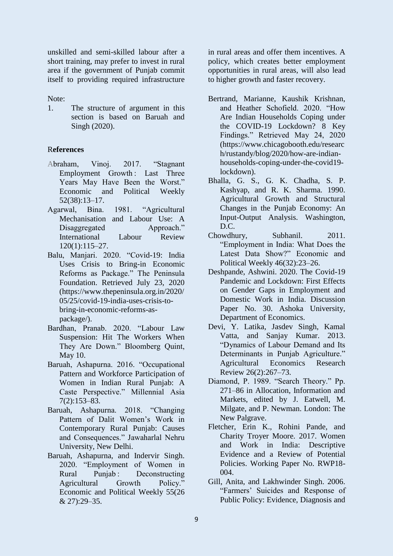unskilled and semi-skilled labour after a short training, may prefer to invest in rural area if the government of Punjab commit itself to providing required infrastructure

Note:

1. The structure of argument in this section is based on Baruah and Singh (2020).

### R**eferences**

- Abraham, Vinoj. 2017. "Stagnant Employment Growth: Last Three Years May Have Been the Worst." Economic and Political Weekly 52(38):13–17.
- Agarwal, Bina. 1981. "Agricultural Mechanisation and Labour Use: A Disaggregated Approach." International Labour Review 120(1):115–27.
- Balu, Manjari. 2020. "Covid-19: India Uses Crisis to Bring-in Economic Reforms as Package." The Peninsula Foundation. Retrieved July 23, 2020 (https://www.thepeninsula.org.in/2020/ 05/25/covid-19-india-uses-crisis-tobring-in-economic-reforms-aspackage/).
- Bardhan, Pranab. 2020. "Labour Law Suspension: Hit The Workers When They Are Down." Bloomberg Quint, May 10.
- Baruah, Ashapurna. 2016. "Occupational Pattern and Workforce Participation of Women in Indian Rural Punjab: A Caste Perspective." Millennial Asia 7(2):153–83.
- Baruah, Ashapurna. 2018. "Changing Pattern of Dalit Women's Work in Contemporary Rural Punjab: Causes and Consequences." Jawaharlal Nehru University, New Delhi.
- Baruah, Ashapurna, and Indervir Singh. 2020. "Employment of Women in Rural Punjab : Deconstructing Agricultural Growth Policy." Economic and Political Weekly 55(26 & 27):29–35.

in rural areas and offer them incentives. A policy, which creates better employment opportunities in rural areas, will also lead to higher growth and faster recovery.

- Bertrand, Marianne, Kaushik Krishnan, and Heather Schofield. 2020. "How Are Indian Households Coping under the COVID-19 Lockdown? 8 Key Findings." Retrieved May 24, 2020 (https://www.chicagobooth.edu/researc h/rustandy/blog/2020/how-are-indianhouseholds-coping-under-the-covid19 lockdown).
- Bhalla, G. S., G. K. Chadha, S. P. Kashyap, and R. K. Sharma. 1990. Agricultural Growth and Structural Changes in the Punjab Economy: An Input-Output Analysis. Washington, D.C.
- Chowdhury, Subhanil. 2011. "Employment in India: What Does the Latest Data Show?" Economic and Political Weekly 46(32):23–26.
- Deshpande, Ashwini. 2020. The Covid-19 Pandemic and Lockdown: First Effects on Gender Gaps in Employment and Domestic Work in India. Discussion Paper No. 30. Ashoka University, Department of Economics.
- Devi, Y. Latika, Jasdev Singh, Kamal Vatta, and Sanjay Kumar. 2013. "Dynamics of Labour Demand and Its Determinants in Punjab Agriculture." Agricultural Economics Research Review 26(2):267–73.
- Diamond, P. 1989. "Search Theory." Pp. 271–86 in Allocation, Information and Markets, edited by J. Eatwell, M. Milgate, and P. Newman. London: The New Palgrave.
- Fletcher, Erin K., Rohini Pande, and Charity Troyer Moore. 2017. Women and Work in India: Descriptive Evidence and a Review of Potential Policies. Working Paper No. RWP18- 004.
- Gill, Anita, and Lakhwinder Singh. 2006. "Farmers' Suicides and Response of Public Policy: Evidence, Diagnosis and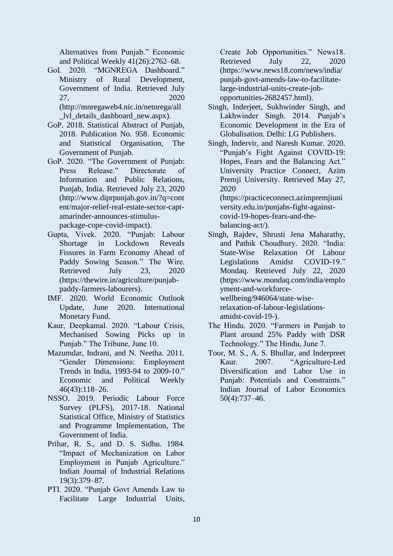Alternatives from Punjab." Economic and Political Weekly 41(26):2762–68.

- GoI. 2020. "MGNREGA Dashboard." Ministry of Rural Development, Government of India. Retrieved July 27, 2020 (http://mnregaweb4.nic.in/netnrega/all \_lvl\_details\_dashboard\_new.aspx).
- GoP. 2018. Statistical Abstract of Punjab, 2018. Publication No. 958. Economic and Statistical Organisation, The Government of Punjab.
- GoP. 2020. "The Government of Punjab: Press Release." Directorate of Information and Public Relations, Punjab, India. Retrieved July 23, 2020 (http://www.diprpunjab.gov.in/?q=cont ent/major-relief-real-estate-sector-captamarinder-announces-stimuluspackage-cope-covid-impact).
- Gupta, Vivek. 2020. "Punjab: Labour Shortage in Lockdown Reveals Fissures in Farm Economy Ahead of Paddy Sowing Season." The Wire. Retrieved July 23, 2020 (https://thewire.in/agriculture/punjabpaddy-farmers-labourers).
- IMF. 2020. World Economic Outlook Update, June 2020. International Monetary Fund.
- Kaur, Deepkamal. 2020. "Labour Crisis, Mechanised Sowing Picks up in Punjab." The Tribune, June 10.
- Mazumdar, Indrani, and N. Neetha. 2011. "Gender Dimensions: Employment Trends in India, 1993-94 to 2009-10." Economic and Political Weekly 46(43):118–26.
- NSSO. 2019. Periodic Labour Force Survey (PLFS), 2017-18. National Statistical Office, Ministry of Statistics and Programme Implementation, The Government of India.
- Prihar, R. S., and D. S. Sidhu. 1984. "Impact of Mechanization on Labor Employment in Punjab Agriculture." Indian Journal of Industrial Relations 19(3):379–87.
- PTI. 2020. "Punjab Govt Amends Law to Facilitate Large Industrial Units,

Create Job Opportunities." News18. Retrieved July 22, 2020 (https://www.news18.com/news/india/ punjab-govt-amends-law-to-facilitatelarge-industrial-units-create-jobopportunities-2682457.html).

- Singh, Inderjeet, Sukhwinder Singh, and Lakhwinder Singh. 2014. Punjab's Economic Development in the Era of Globalisation. Delhi: LG Publishers.
- Singh, Indervir, and Naresh Kumar. 2020. "Punjab's Fight Against COVID-19: Hopes, Fears and the Balancing Act." University Practice Connect, Azim Premji University. Retrieved May 27, 2020 (https://practiceconnect.azimpremjiuni

versity.edu.in/punjabs-fight-againstcovid-19-hopes-fears-and-thebalancing-act/).

- Singh, Rajdev, Shrusti Jena Maharathy, and Pathik Choudhury. 2020. "India: State-Wise Relaxation Of Labour Legislations Amidst COVID-19." Mondaq. Retrieved July 22, 2020 (https://www.mondaq.com/india/emplo yment-and-workforcewellbeing/946064/state-wiserelaxation-of-labour-legislationsamidst-covid-19-).
- The Hindu. 2020. "Farmers in Punjab to Plant around 25% Paddy with DSR Technology." The Hindu, June 7.
- Toor, M. S., A. S. Bhullar, and Inderpreet Kaur. 2007. "Agriculture-Led Diversification and Labor Use in Punjab: Potentials and Constraints." Indian Journal of Labor Economics 50(4):737–46.